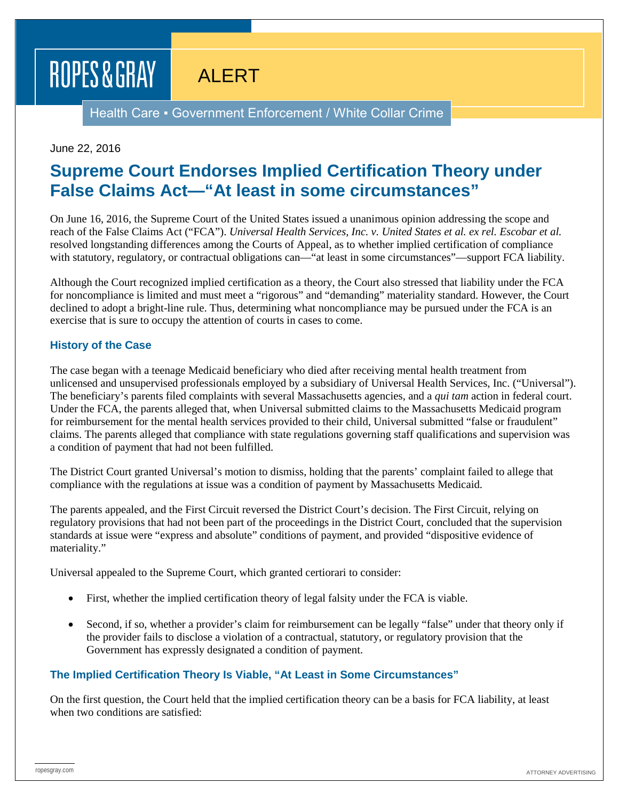# ROPES & GRAY

ALERT

Health Care • Government Enforcement / White Collar Crime

### June 22, 2016

### **Supreme Court Endorses Implied Certification Theory under False Claims Act—"At least in some circumstances"**

On June 16, 2016, the Supreme Court of the United States issued a unanimous opinion addressing the scope and reach of the False Claims Act ("FCA"). *Universal Health Services, Inc. v. United States et al. ex rel. Escobar et al.*  resolved longstanding differences among the Courts of Appeal, as to whether implied certification of compliance with statutory, regulatory, or contractual obligations can—"at least in some circumstances"—support FCA liability.

Although the Court recognized implied certification as a theory, the Court also stressed that liability under the FCA for noncompliance is limited and must meet a "rigorous" and "demanding" materiality standard. However, the Court declined to adopt a bright-line rule. Thus, determining what noncompliance may be pursued under the FCA is an exercise that is sure to occupy the attention of courts in cases to come.

### **History of the Case**

The case began with a teenage Medicaid beneficiary who died after receiving mental health treatment from unlicensed and unsupervised professionals employed by a subsidiary of Universal Health Services, Inc. ("Universal"). The beneficiary's parents filed complaints with several Massachusetts agencies, and a *qui tam* action in federal court. Under the FCA, the parents alleged that, when Universal submitted claims to the Massachusetts Medicaid program for reimbursement for the mental health services provided to their child, Universal submitted "false or fraudulent" claims. The parents alleged that compliance with state regulations governing staff qualifications and supervision was a condition of payment that had not been fulfilled.

The District Court granted Universal's motion to dismiss, holding that the parents' complaint failed to allege that compliance with the regulations at issue was a condition of payment by Massachusetts Medicaid.

The parents appealed, and the First Circuit reversed the District Court's decision. The First Circuit, relying on regulatory provisions that had not been part of the proceedings in the District Court, concluded that the supervision standards at issue were "express and absolute" conditions of payment, and provided "dispositive evidence of materiality."

Universal appealed to the Supreme Court, which granted certiorari to consider:

- First, whether the implied certification theory of legal falsity under the FCA is viable.
- Second, if so, whether a provider's claim for reimbursement can be legally "false" under that theory only if the provider fails to disclose a violation of a contractual, statutory, or regulatory provision that the Government has expressly designated a condition of payment.

### **The Implied Certification Theory Is Viable, "At Least in Some Circumstances"**

On the first question, the Court held that the implied certification theory can be a basis for FCA liability, at least when two conditions are satisfied: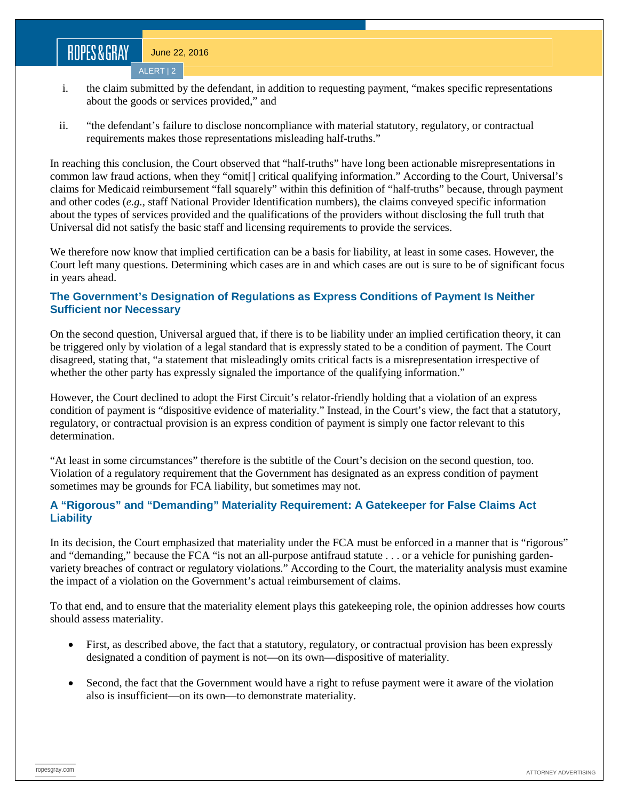# ROPES&GRAY

June 22, 2016

- ALERT | 2
- i. the claim submitted by the defendant, in addition to requesting payment, "makes specific representations about the goods or services provided," and
- ii. "the defendant's failure to disclose noncompliance with material statutory, regulatory, or contractual requirements makes those representations misleading half-truths."

In reaching this conclusion, the Court observed that "half-truths" have long been actionable misrepresentations in common law fraud actions, when they "omit[] critical qualifying information." According to the Court, Universal's claims for Medicaid reimbursement "fall squarely" within this definition of "half-truths" because, through payment and other codes (*e.g.,* staff National Provider Identification numbers), the claims conveyed specific information about the types of services provided and the qualifications of the providers without disclosing the full truth that Universal did not satisfy the basic staff and licensing requirements to provide the services.

We therefore now know that implied certification can be a basis for liability, at least in some cases. However, the Court left many questions. Determining which cases are in and which cases are out is sure to be of significant focus in years ahead.

### **The Government's Designation of Regulations as Express Conditions of Payment Is Neither Sufficient nor Necessary**

On the second question, Universal argued that, if there is to be liability under an implied certification theory, it can be triggered only by violation of a legal standard that is expressly stated to be a condition of payment. The Court disagreed, stating that, "a statement that misleadingly omits critical facts is a misrepresentation irrespective of whether the other party has expressly signaled the importance of the qualifying information."

However, the Court declined to adopt the First Circuit's relator-friendly holding that a violation of an express condition of payment is "dispositive evidence of materiality." Instead, in the Court's view, the fact that a statutory, regulatory, or contractual provision is an express condition of payment is simply one factor relevant to this determination.

"At least in some circumstances" therefore is the subtitle of the Court's decision on the second question, too. Violation of a regulatory requirement that the Government has designated as an express condition of payment sometimes may be grounds for FCA liability, but sometimes may not.

### **A "Rigorous" and "Demanding" Materiality Requirement: A Gatekeeper for False Claims Act Liability**

In its decision, the Court emphasized that materiality under the FCA must be enforced in a manner that is "rigorous" and "demanding," because the FCA "is not an all-purpose antifraud statute . . . or a vehicle for punishing gardenvariety breaches of contract or regulatory violations." According to the Court, the materiality analysis must examine the impact of a violation on the Government's actual reimbursement of claims.

To that end, and to ensure that the materiality element plays this gatekeeping role, the opinion addresses how courts should assess materiality.

- First, as described above, the fact that a statutory, regulatory, or contractual provision has been expressly designated a condition of payment is not—on its own—dispositive of materiality.
- Second, the fact that the Government would have a right to refuse payment were it aware of the violation also is insufficient—on its own—to demonstrate materiality.